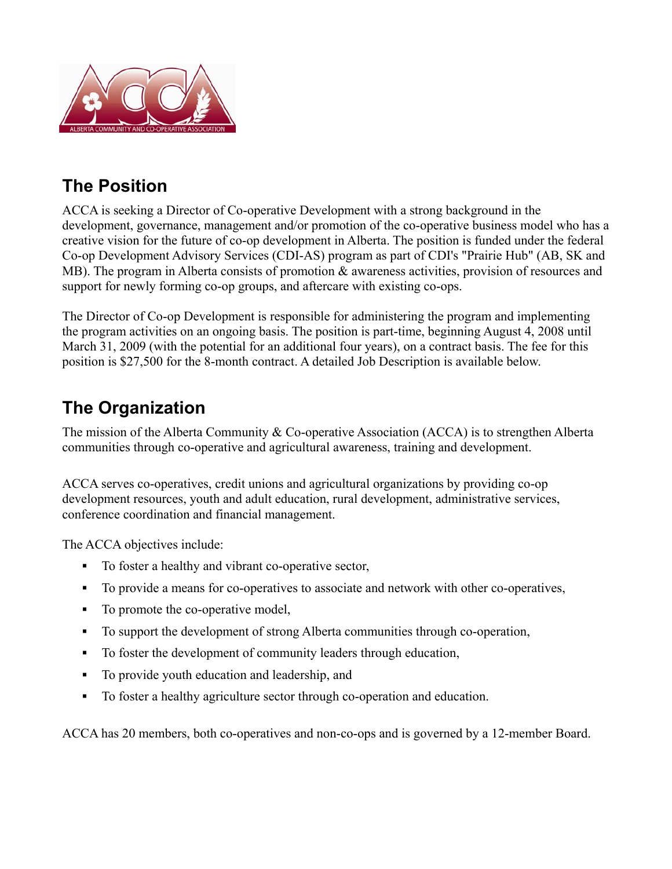

# **The Position**

ACCA is seeking a Director of Co-operative Development with a strong background in the development, governance, management and/or promotion of the co-operative business model who has a creative vision for the future of co-op development in Alberta. The position is funded under the federal Co-op Development Advisory Services (CDI-AS) program as part of CDI's "Prairie Hub" (AB, SK and MB). The program in Alberta consists of promotion  $\&$  awareness activities, provision of resources and support for newly forming co-op groups, and aftercare with existing co-ops.

The Director of Co-op Development is responsible for administering the program and implementing the program activities on an ongoing basis. The position is part-time, beginning August 4, 2008 until March 31, 2009 (with the potential for an additional four years), on a contract basis. The fee for this position is \$27,500 for the 8-month contract. A detailed Job Description is available below.

## **The Organization**

The mission of the Alberta Community & Co-operative Association (ACCA) is to strengthen Alberta communities through co-operative and agricultural awareness, training and development.

ACCA serves co-operatives, credit unions and agricultural organizations by providing co-op development resources, youth and adult education, rural development, administrative services, conference coordination and financial management.

The ACCA objectives include:

- To foster a healthy and vibrant co-operative sector,
- To provide a means for co-operatives to associate and network with other co-operatives,
- To promote the co-operative model,
- To support the development of strong Alberta communities through co-operation,
- To foster the development of community leaders through education,
- To provide youth education and leadership, and
- To foster a healthy agriculture sector through co-operation and education.

ACCA has 20 members, both co-operatives and non-co-ops and is governed by a 12-member Board.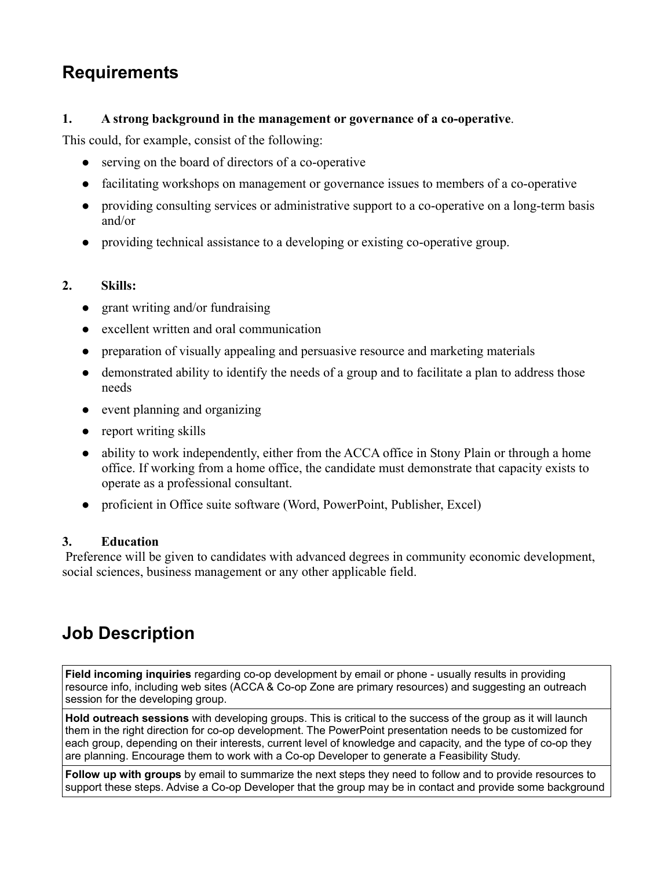### **Requirements**

#### **1. A strong background in the management or governance of a co-operative**.

This could, for example, consist of the following:

- $\bullet$  serving on the board of directors of a co-operative
- facilitating workshops on management or governance issues to members of a co-operative
- providing consulting services or administrative support to a co-operative on a long-term basis and/or
- providing technical assistance to a developing or existing co-operative group.

#### **2. Skills:**

- $\bullet$  grant writing and/or fundraising
- excellent written and oral communication
- preparation of visually appealing and persuasive resource and marketing materials
- demonstrated ability to identify the needs of a group and to facilitate a plan to address those needs
- event planning and organizing
- $\bullet$  report writing skills
- ability to work independently, either from the ACCA office in Stony Plain or through a home office. If working from a home office, the candidate must demonstrate that capacity exists to operate as a professional consultant.
- proficient in Office suite software (Word, PowerPoint, Publisher, Excel)

#### **3. Education**

 Preference will be given to candidates with advanced degrees in community economic development, social sciences, business management or any other applicable field.

# **Job Description**

**Field incoming inquiries** regarding co-op development by email or phone - usually results in providing resource info, including web sites (ACCA & Co-op Zone are primary resources) and suggesting an outreach session for the developing group.

**Hold outreach sessions** with developing groups. This is critical to the success of the group as it will launch them in the right direction for co-op development. The PowerPoint presentation needs to be customized for each group, depending on their interests, current level of knowledge and capacity, and the type of co-op they are planning. Encourage them to work with a Co-op Developer to generate a Feasibility Study.

**Follow up with groups** by email to summarize the next steps they need to follow and to provide resources to support these steps. Advise a Co-op Developer that the group may be in contact and provide some background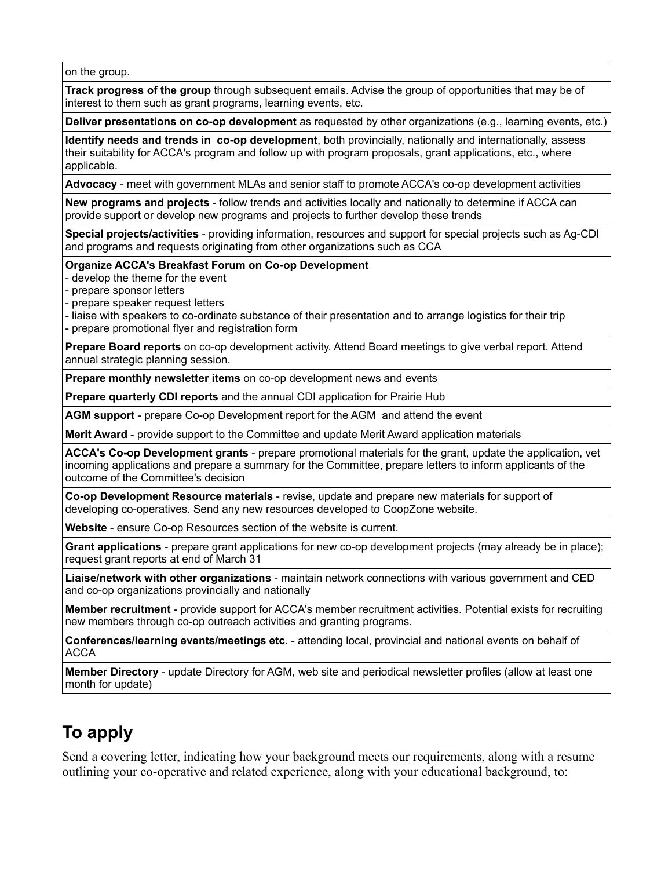on the group.

**Track progress of the group** through subsequent emails. Advise the group of opportunities that may be of interest to them such as grant programs, learning events, etc.

**Deliver presentations on co-op development** as requested by other organizations (e.g., learning events, etc.)

**Identify needs and trends in co-op development**, both provincially, nationally and internationally, assess their suitability for ACCA's program and follow up with program proposals, grant applications, etc., where applicable.

**Advocacy** - meet with government MLAs and senior staff to promote ACCA's co-op development activities

**New programs and projects** - follow trends and activities locally and nationally to determine if ACCA can provide support or develop new programs and projects to further develop these trends

**Special projects/activities** - providing information, resources and support for special projects such as Ag-CDI and programs and requests originating from other organizations such as CCA

**Organize ACCA's Breakfast Forum on Co-op Development** 

- develop the theme for the event

- prepare sponsor letters
- prepare speaker request letters
- liaise with speakers to co-ordinate substance of their presentation and to arrange logistics for their trip
- prepare promotional flyer and registration form

**Prepare Board reports** on co-op development activity. Attend Board meetings to give verbal report. Attend annual strategic planning session.

**Prepare monthly newsletter items** on co-op development news and events

**Prepare quarterly CDI reports** and the annual CDI application for Prairie Hub

**AGM support** - prepare Co-op Development report for the AGM and attend the event

**Merit Award** - provide support to the Committee and update Merit Award application materials

**ACCA's Co-op Development grants** - prepare promotional materials for the grant, update the application, vet incoming applications and prepare a summary for the Committee, prepare letters to inform applicants of the outcome of the Committee's decision

**Co-op Development Resource materials** - revise, update and prepare new materials for support of developing co-operatives. Send any new resources developed to CoopZone website.

**Website** - ensure Co-op Resources section of the website is current.

**Grant applications** - prepare grant applications for new co-op development projects (may already be in place); request grant reports at end of March 31

**Liaise/network with other organizations** - maintain network connections with various government and CED and co-op organizations provincially and nationally

**Member recruitment** - provide support for ACCA's member recruitment activities. Potential exists for recruiting new members through co-op outreach activities and granting programs.

**Conferences/learning events/meetings etc**. - attending local, provincial and national events on behalf of ACCA

**Member Directory** - update Directory for AGM, web site and periodical newsletter profiles (allow at least one month for update)

### **To apply**

Send a covering letter, indicating how your background meets our requirements, along with a resume outlining your co-operative and related experience, along with your educational background, to: